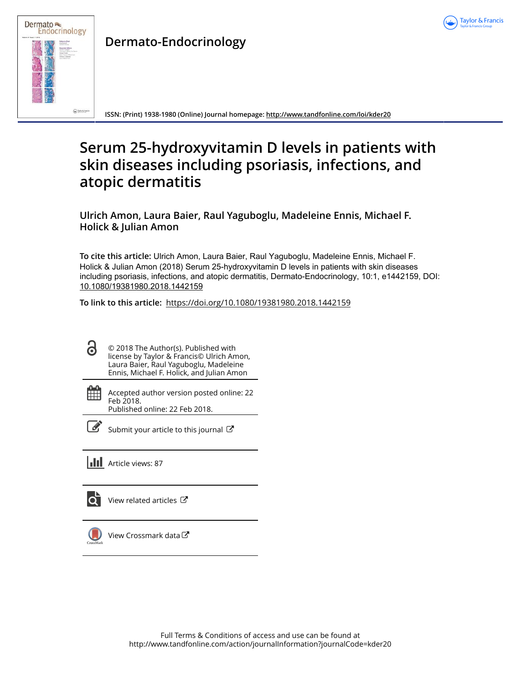



**Dermato-Endocrinology**

**ISSN: (Print) 1938-1980 (Online) Journal homepage:<http://www.tandfonline.com/loi/kder20>**

# **Serum 25-hydroxyvitamin D levels in patients with skin diseases including psoriasis, infections, and atopic dermatitis**

**Ulrich Amon, Laura Baier, Raul Yaguboglu, Madeleine Ennis, Michael F. Holick & Julian Amon**

**To cite this article:** Ulrich Amon, Laura Baier, Raul Yaguboglu, Madeleine Ennis, Michael F. Holick & Julian Amon (2018) Serum 25-hydroxyvitamin D levels in patients with skin diseases including psoriasis, infections, and atopic dermatitis, Dermato-Endocrinology, 10:1, e1442159, DOI: [10.1080/19381980.2018.1442159](http://www.tandfonline.com/action/showCitFormats?doi=10.1080/19381980.2018.1442159)

**To link to this article:** <https://doi.org/10.1080/19381980.2018.1442159>

| 6 | © 2018 The Author(s). Published with<br>license by Taylor & Francis© Ulrich Amon,<br>Laura Baier, Raul Yaguboglu, Madeleine<br>Ennis, Michael F. Holick, and Julian Amon |
|---|--------------------------------------------------------------------------------------------------------------------------------------------------------------------------|
|   |                                                                                                                                                                          |

Accepted author version posted online: 22 Feb 2018. Published online: 22 Feb 2018.

鹽

 $\overrightarrow{S}$  [Submit your article to this journal](http://www.tandfonline.com/action/authorSubmission?journalCode=kder20&show=instructions)  $\overrightarrow{S}$ 

**Article views: 87** 

[View related articles](http://www.tandfonline.com/doi/mlt/10.1080/19381980.2018.1442159)  $\mathbb{Z}$ 



[View Crossmark data](http://crossmark.crossref.org/dialog/?doi=10.1080/19381980.2018.1442159&domain=pdf&date_stamp=2018-02-22)<sup>√</sup>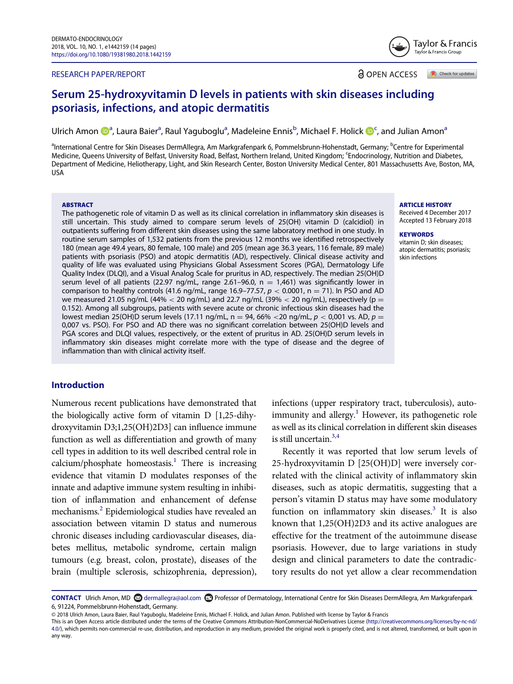#### RESEARCH PAPER/REPORT

**a** OPEN ACCESS Check for updates

# Serum 25-hydroxyvitamin D levels in patients with skin diseases including psoriasis, infections, and atopic dermatitis

Ulrich Amo[n](#page-10-0) ��<sup>[a](#page-1-0)</sup>, Laura Baier<sup>a</sup>, Raul Yaguboglu<sup>a</sup>, Madeleine Ennis<sup>b</sup>, Mi[c](#page-1-1)hael F. Holick ��<sup>c</sup>, and Julian Amon<sup>a</sup>

<span id="page-1-1"></span><span id="page-1-0"></span><sup>a</sup>International Centre for Skin Diseases DermAllegra, Am Markgrafenpark 6, Pommelsbrunn-Hohenstadt, Germany; <sup>b</sup>Centre for Experimental Medicine, Queens University of Belfast, University Road, Belfast, Northern Ireland, United Kingdom; <sup>c</sup>Endocrinology, Nutrition and Diabetes, Department of Medicine, Heliotherapy, Light, and Skin Research Center, Boston University Medical Center, 801 Massachusetts Ave, Boston, MA, USA

#### **ABSTRACT**

The pathogenetic role of vitamin D as well as its clinical correlation in inflammatory skin diseases is still uncertain. This study aimed to compare serum levels of 25(OH) vitamin D (calcidiol) in outpatients suffering from different skin diseases using the same laboratory method in one study. In routine serum samples of 1,532 patients from the previous 12 months we identified retrospectively 180 (mean age 49.4 years, 80 female, 100 male) and 205 (mean age 36.3 years, 116 female, 89 male) patients with psoriasis (PSO) and atopic dermatitis (AD), respectively. Clinical disease activity and quality of life was evaluated using Physicians Global Assessment Scores (PGA), Dermatology Life Quality Index (DLQI), and a Visual Analog Scale for pruritus in AD, respectively. The median 25(OH)D serum level of all patients (22.97 ng/mL, range 2.61-96.0,  $n = 1,461$ ) was significantly lower in comparison to healthy controls (41.6 ng/mL, range 16.9-77.57,  $p < 0.0001$ , n = 71). In PSO and AD we measured 21.05 ng/mL (44%  $<$  20 ng/mL) and 22.7 ng/mL (39%  $<$  20 ng/mL), respectively (p = 0.152). Among all subgroups, patients with severe acute or chronic infectious skin diseases had the lowest median 25(OH)D serum levels (17.11 ng/mL, n = 94, 66% < 20 ng/mL,  $p < 0.001$  vs. AD,  $p =$ 0,007 vs. PSO). For PSO and AD there was no significant correlation between 25(OH)D levels and PGA scores and DLQI values, respectively, or the extent of pruritus in AD. 25(OH)D serum levels in inflammatory skin diseases might correlate more with the type of disease and the degree of inflammation than with clinical activity itself.

#### Introduction

<span id="page-1-5"></span><span id="page-1-2"></span>Numerous recent publications have demonstrated that the biologically active form of vitamin D [1,25-dihydroxyvitamin D3;1,25(OH)2D3] can influence immune function as well as differentiation and growth of many cell types in addition to its well described central role in  $calcium/phosphate homeostasis.<sup>1</sup> There is increasing$  $calcium/phosphate homeostasis.<sup>1</sup> There is increasing$  $calcium/phosphate homeostasis.<sup>1</sup> There is increasing$ evidence that vitamin D modulates responses of the innate and adaptive immune system resulting in inhibition of inflammation and enhancement of defense mechanisms[.2](#page-10-2) Epidemiological studies have revealed an association between vitamin D status and numerous chronic diseases including cardiovascular diseases, diabetes mellitus, metabolic syndrome, certain malign tumours (e.g. breast, colon, prostate), diseases of the brain (multiple sclerosis, schizophrenia, depression),

infections (upper respiratory tract, tuberculosis), auto-immunity and allergy.<sup>[1](#page-10-1)</sup> However, its pathogenetic role as well as its clinical correlation in different skin diseases is still uncertain.<sup>3[,4](#page-10-4)</sup>

Recently it was reported that low serum levels of 25-hydroxyvitamin D [25(OH)D] were inversely correlated with the clinical activity of inflammatory skin diseases, such as atopic dermatitis, suggesting that a person's vitamin D status may have some modulatory function on inflammatory skin diseases.<sup>[3](#page-10-3)</sup> It is also known that 1,25(OH)2D3 and its active analogues are effective for the treatment of the autoimmune disease psoriasis. However, due to large variations in study design and clinical parameters to date the contradictory results do not yet allow a clear recommendation

#### ARTICLE HISTORY

Received 4 December 2017 Accepted 13 February 2018

#### **KEYWORDS**

vitamin D; skin diseases; atopic dermatitis; psoriasis; skin infections



<span id="page-1-4"></span><span id="page-1-3"></span>CONTACT Ulrich Amon, MD [dermallegra@aol.com](mailto:dermallegra@aol.com) Professor of Dermatology, International Centre for Skin Diseases DermAllegra, Am Markgrafenpark 6, 91224, Pommelsbrunn-Hohenstadt, Germany.

<sup>© 2018</sup> Ulrich Amon, Laura Baier, Raul Yaguboglu, Madeleine Ennis, Michael F. Holick, and Julian Amon. Published with license by Taylor & Francis

This is an Open Access article distributed under the terms of the Creative Commons Attribution-NonCommercial-NoDerivatives License ([http://creativecommons.org/licenses/by-nc-nd/](http://creativecommons.org/licenses/by-nc-nd/4.0/) [4.0/\)](http://creativecommons.org/licenses/by-nc-nd/4.0/), which permits non-commercial re-use, distribution, and reproduction in any medium, provided the original work is properly cited, and is not altered, transformed, or built upon in any way.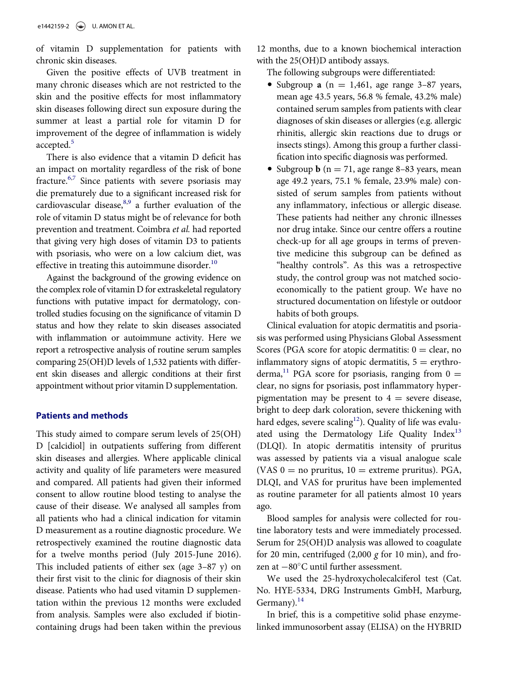of vitamin D supplementation for patients with chronic skin diseases.

Given the positive effects of UVB treatment in many chronic diseases which are not restricted to the skin and the positive effects for most inflammatory skin diseases following direct sun exposure during the summer at least a partial role for vitamin D for improvement of the degree of inflammation is widely accepted.<sup>[5](#page-10-5)</sup>

<span id="page-2-2"></span><span id="page-2-1"></span><span id="page-2-0"></span>There is also evidence that a vitamin D deficit has an impact on mortality regardless of the risk of bone fracture.<sup>[6](#page-10-6),[7](#page-11-0)</sup> Since patients with severe psoriasis may die prematurely due to a significant increased risk for cardiovascular disease,  $8.9$  $8.9$  a further evaluation of the role of vitamin D status might be of relevance for both prevention and treatment. Coimbra et al. had reported that giving very high doses of vitamin D3 to patients with psoriasis, who were on a low calcium diet, was effective in treating this autoimmune disorder.<sup>[10](#page-11-3)</sup>

<span id="page-2-3"></span>Against the background of the growing evidence on the complex role of vitamin D for extraskeletal regulatory functions with putative impact for dermatology, controlled studies focusing on the significance of vitamin D status and how they relate to skin diseases associated with inflammation or autoimmune activity. Here we report a retrospective analysis of routine serum samples comparing 25(OH)D levels of 1,532 patients with different skin diseases and allergic conditions at their first appointment without prior vitamin D supplementation.

### <span id="page-2-5"></span><span id="page-2-4"></span>Patients and methods

<span id="page-2-7"></span><span id="page-2-6"></span>This study aimed to compare serum levels of 25(OH) D [calcidiol] in outpatients suffering from different skin diseases and allergies. Where applicable clinical activity and quality of life parameters were measured and compared. All patients had given their informed consent to allow routine blood testing to analyse the cause of their disease. We analysed all samples from all patients who had a clinical indication for vitamin D measurement as a routine diagnostic procedure. We retrospectively examined the routine diagnostic data for a twelve months period (July 2015-June 2016). This included patients of either sex (age 3–87 y) on their first visit to the clinic for diagnosis of their skin disease. Patients who had used vitamin D supplementation within the previous 12 months were excluded from analysis. Samples were also excluded if biotincontaining drugs had been taken within the previous 12 months, due to a known biochemical interaction with the 25(OH)D antibody assays.

The following subgroups were differentiated:

- Subgroup a ( $n = 1,461$ , age range 3–87 years, mean age 43.5 years, 56.8 % female, 43.2% male) contained serum samples from patients with clear diagnoses of skin diseases or allergies (e.g. allergic rhinitis, allergic skin reactions due to drugs or insects stings). Among this group a further classification into specific diagnosis was performed.
- Subgroup **b** ( $n = 71$ , age range 8–83 years, mean age 49.2 years, 75.1 % female, 23.9% male) consisted of serum samples from patients without any inflammatory, infectious or allergic disease. These patients had neither any chronic illnesses nor drug intake. Since our centre offers a routine check-up for all age groups in terms of preventive medicine this subgroup can be defined as "healthy controls". As this was a retrospective study, the control group was not matched socioeconomically to the patient group. We have no structured documentation on lifestyle or outdoor habits of both groups.

Clinical evaluation for atopic dermatitis and psoriasis was performed using Physicians Global Assessment Scores (PGA score for atopic dermatitis:  $0 =$  clear, no inflammatory signs of atopic dermatitis,  $5 =$  erythro-derma,<sup>[11](#page-11-4)</sup> PGA score for psoriasis, ranging from  $0 =$ clear, no signs for psoriasis, post inflammatory hyperpigmentation may be present to  $4 =$  severe disease, bright to deep dark coloration, severe thickening with hard edges, severe scaling<sup>[12](#page-11-5)</sup>). Quality of life was evaluated using the Dermatology Life Quality  $Index<sup>13</sup>$  $Index<sup>13</sup>$  $Index<sup>13</sup>$ (DLQI). In atopic dermatitis intensity of pruritus was assessed by patients via a visual analogue scale (VAS  $0 =$  no pruritus,  $10 =$  extreme pruritus). PGA, DLQI, and VAS for pruritus have been implemented as routine parameter for all patients almost 10 years ago.

Blood samples for analysis were collected for routine laboratory tests and were immediately processed. Serum for 25(OH)D analysis was allowed to coagulate for 20 min, centrifuged  $(2,000 \text{ g}$  for 10 min), and frozen at  $-80^{\circ}$ C until further assessment.

We used the 25-hydroxycholecalciferol test (Cat. No. HYE-5334, DRG Instruments GmbH, Marburg, Germany). $^{14}$  $^{14}$  $^{14}$ 

In brief, this is a competitive solid phase enzymelinked immunosorbent assay (ELISA) on the HYBRID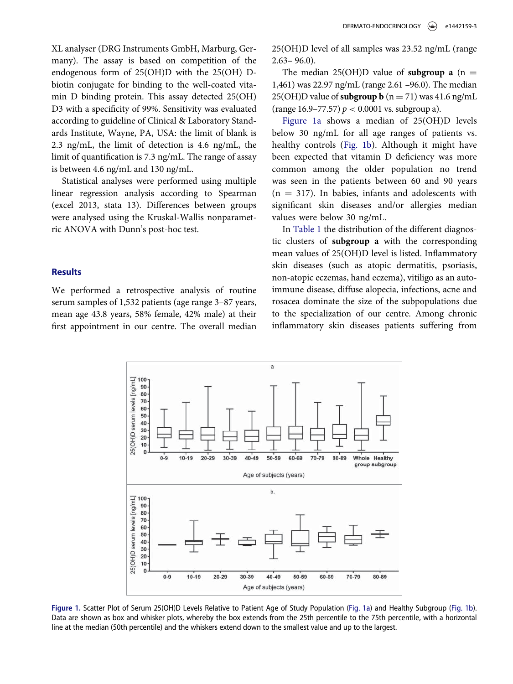XL analyser (DRG Instruments GmbH, Marburg, Germany). The assay is based on competition of the endogenous form of 25(OH)D with the 25(OH) Dbiotin conjugate for binding to the well-coated vitamin D binding protein. This assay detected 25(OH) D3 with a specificity of 99%. Sensitivity was evaluated according to guideline of Clinical & Laboratory Standards Institute, Wayne, PA, USA: the limit of blank is 2.3 ng/mL, the limit of detection is 4.6 ng/mL, the limit of quantification is 7.3 ng/mL. The range of assay is between 4.6 ng/mL and 130 ng/mL.

Statistical analyses were performed using multiple linear regression analysis according to Spearman (excel 2013, stata 13). Differences between groups were analysed using the Kruskal-Wallis nonparametric ANOVA with Dunn's post-hoc test.

#### **Results**

<span id="page-3-0"></span>We performed a retrospective analysis of routine serum samples of 1,532 patients (age range 3–87 years, mean age 43.8 years, 58% female, 42% male) at their first appointment in our centre. The overall median

25(OH)D level of all samples was 23.52 ng/mL (range  $2.63 - 96.0$ ).

The median 25(OH)D value of **subgroup a**  $(n =$ 1,461) was 22.97 ng/mL (range 2.61 –96.0). The median 25(OH)D value of **subgroup b**  $(n = 71)$  was 41.6 ng/mL (range 16.9–77.57)  $p < 0.0001$  vs. subgroup a).

[Figure 1a](#page-3-0) shows a median of 25(OH)D levels below 30 ng/mL for all age ranges of patients vs. healthy controls ([Fig. 1b](#page-3-0)). Although it might have been expected that vitamin D deficiency was more common among the older population no trend was seen in the patients between 60 and 90 years  $(n = 317)$ . In babies, infants and adolescents with significant skin diseases and/or allergies median values were below 30 ng/mL.

In [Table 1](#page-4-0) the distribution of the different diagnostic clusters of subgroup a with the corresponding mean values of 25(OH)D level is listed. Inflammatory skin diseases (such as atopic dermatitis, psoriasis, non-atopic eczemas, hand eczema), vitiligo as an autoimmune disease, diffuse alopecia, infections, acne and rosacea dominate the size of the subpopulations due to the specialization of our centre. Among chronic inflammatory skin diseases patients suffering from



Figure 1. Scatter Plot of Serum 25(OH)D Levels Relative to Patient Age of Study Population ([Fig. 1a](#page-3-0)) and Healthy Subgroup ([Fig. 1b\)](#page-3-0). Data are shown as box and whisker plots, whereby the box extends from the 25th percentile to the 75th percentile, with a horizontal line at the median (50th percentile) and the whiskers extend down to the smallest value and up to the largest.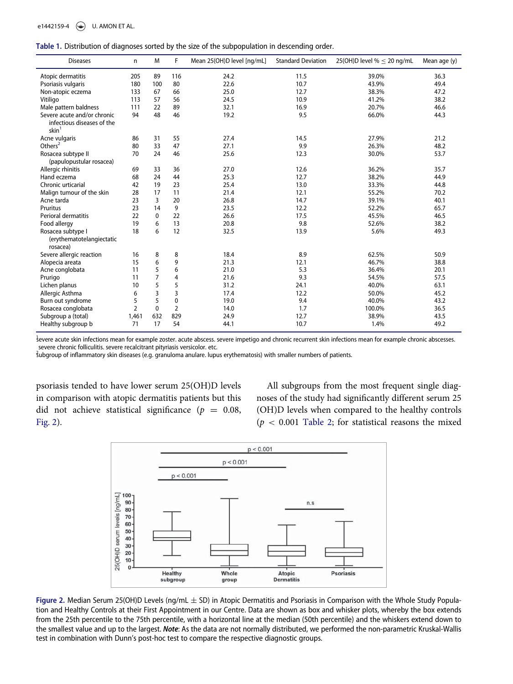<span id="page-4-0"></span>

|  |  | Table 1. Distribution of diagnoses sorted by the size of the subpopulation in descending order. |  |
|--|--|-------------------------------------------------------------------------------------------------|--|
|  |  |                                                                                                 |  |

| <b>Diseases</b>                                                                | n              | M            | F              | Mean 25(OH)D level [ng/mL] | <b>Standard Deviation</b> | 25(OH)D level $% \leq 20$ ng/mL | Mean age (y) |
|--------------------------------------------------------------------------------|----------------|--------------|----------------|----------------------------|---------------------------|---------------------------------|--------------|
| Atopic dermatitis                                                              | 205            | 89           | 116            | 24.2                       | 11.5                      | 39.0%                           | 36.3         |
| Psoriasis vulgaris                                                             | 180            | 100          | 80             | 22.6                       | 10.7                      | 43.9%                           | 49.4         |
| Non-atopic eczema                                                              | 133            | 67           | 66             | 25.0                       | 12.7                      | 38.3%                           | 47.2         |
| Vitiligo                                                                       | 113            | 57           | 56             | 24.5                       | 10.9                      | 41.2%                           | 38.2         |
| Male pattern baldness                                                          | 111            | 22           | 89             | 32.1                       | 16.9                      | 20.7%                           | 46.6         |
| Severe acute and/or chronic<br>infectious diseases of the<br>skin <sup>1</sup> | 94             | 48           | 46             | 19.2                       | 9.5                       | 66.0%                           | 44.3         |
| Acne vulgaris                                                                  | 86             | 31           | 55             | 27.4                       | 14.5                      | 27.9%                           | 21.2         |
| Others <sup>2</sup>                                                            | 80             | 33           | 47             | 27.1                       | 9.9                       | 26.3%                           | 48.2         |
| Rosacea subtype II<br>(papulopustular rosacea)                                 | 70             | 24           | 46             | 25.6                       | 12.3                      | 30.0%                           | 53.7         |
| Allergic rhinitis                                                              | 69             | 33           | 36             | 27.0                       | 12.6                      | 36.2%                           | 35.7         |
| Hand eczema                                                                    | 68             | 24           | 44             | 25.3                       | 12.7                      | 38.2%                           | 44.9         |
| Chronic urticarial                                                             | 42             | 19           | 23             | 25.4                       | 13.0                      | 33.3%                           | 44.8         |
| Malign tumour of the skin                                                      | 28             | 17           | 11             | 21.4                       | 12.1                      | 55.2%                           | 70.2         |
| Acne tarda                                                                     | 23             | 3            | 20             | 26.8                       | 14.7                      | 39.1%                           | 40.1         |
| Pruritus                                                                       | 23             | 14           | 9              | 23.5                       | 12.2                      | 52.2%                           | 65.7         |
| Perioral dermatitis                                                            | 22             | $\mathbf{0}$ | 22             | 26.6                       | 17.5                      | 45.5%                           | 46.5         |
| Food allergy                                                                   | 19             | 6            | 13             | 20.8                       | 9.8                       | 52.6%                           | 38.2         |
| Rosacea subtype I<br>(erythematotelangiectatic<br>rosacea)                     | 18             | 6            | 12             | 32.5                       | 13.9                      | 5.6%                            | 49.3         |
| Severe allergic reaction                                                       | 16             | 8            | 8              | 18.4                       | 8.9                       | 62.5%                           | 50.9         |
| Alopecia areata                                                                | 15             | 6            | 9              | 21.3                       | 12.1                      | 46.7%                           | 38.8         |
| Acne conglobata                                                                | 11             | 5            | 6              | 21.0                       | 5.3                       | 36.4%                           | 20.1         |
| Prurigo                                                                        | 11             | 7            | 4              | 21.6                       | 9.3                       | 54.5%                           | 57.5         |
| Lichen planus                                                                  | 10             | 5            | 5              | 31.2                       | 24.1                      | 40.0%                           | 63.1         |
| Allergic Asthma                                                                | 6              | 3            | 3              | 17.4                       | 12.2                      | 50.0%                           | 45.2         |
| Burn out syndrome                                                              | 5              | 5            | 0              | 19.0                       | 9.4                       | 40.0%                           | 43.2         |
| Rosacea conglobata                                                             | $\overline{2}$ | $\mathbf{0}$ | $\overline{2}$ | 14.0                       | 1.7                       | 100.0%                          | 36.5         |
| Subgroup a (total)                                                             | 1,461          | 632          | 829            | 24.9                       | 12.7                      | 38.9%                           | 43.5         |
| Healthy subgroup b                                                             | 71             | 17           | 54             | 44.1                       | 10.7                      | 1.4%                            | 49.2         |

<span id="page-4-2"></span>bevere acute skin infections mean for example zoster. acute abscess. severe impetigo and chronic recurrent skin infections mean for example chronic abscesses. severe chronic folliculitis. severe recalcitrant pityriasis versicolor. etc.

<span id="page-4-3"></span>2 subgroup of inflammatory skin diseases (e.g. granuloma anulare. lupus erythematosis) with smaller numbers of patients.

<span id="page-4-1"></span>psoriasis tended to have lower serum 25(OH)D levels in comparison with atopic dermatitis patients but this did not achieve statistical significance ( $p = 0.08$ , [Fig. 2\)](#page-4-1).

All subgroups from the most frequent single diagnoses of the study had significantly different serum 25 (OH)D levels when compared to the healthy controls  $(p < 0.001$  [Table 2](#page-5-0); for statistical reasons the mixed



Figure 2. Median Serum 25(OH)D Levels (ng/mL  $\pm$  SD) in Atopic Dermatitis and Psoriasis in Comparison with the Whole Study Population and Healthy Controls at their First Appointment in our Centre. Data are shown as box and whisker plots, whereby the box extends from the 25th percentile to the 75th percentile, with a horizontal line at the median (50th percentile) and the whiskers extend down to the smallest value and up to the largest. Note: As the data are not normally distributed, we performed the non-parametric Kruskal-Wallis test in combination with Dunn's post-hoc test to compare the respective diagnostic groups.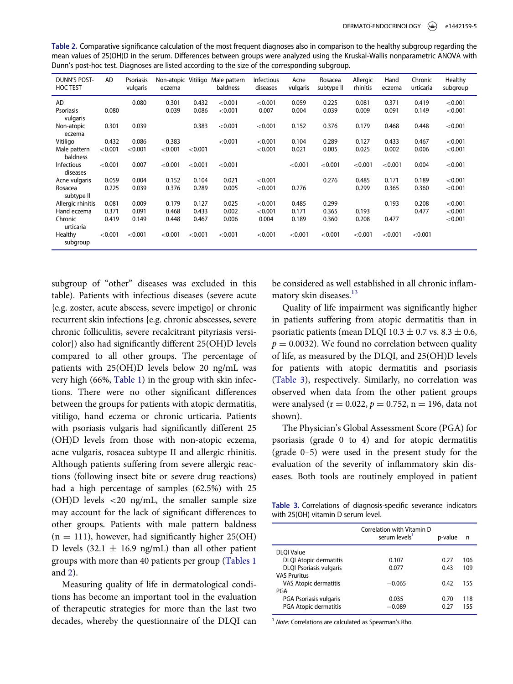<span id="page-5-0"></span>Table 2. Comparative significance calculation of the most frequent diagnoses also in comparison to the healthy subgroup regarding the mean values of 25(OH)D in the serum. Differences between groups were analyzed using the Kruskal-Wallis nonparametric ANOVA with Dunn's post-hoc test. Diagnoses are listed according to the size of the corresponding subgroup.

| <b>DUNN'S POST-</b><br><b>HOC TEST</b> | AD      | Psoriasis<br>vulgaris | eczema  |         | Non-atopic Vitiligo Male pattern<br>baldness | <b>Infectious</b><br>diseases | Acne<br>vulgaris | Rosacea<br>subtype II | Allergic<br>rhinitis | Hand<br>eczema | Chronic<br>urticaria | Healthy<br>subgroup |
|----------------------------------------|---------|-----------------------|---------|---------|----------------------------------------------|-------------------------------|------------------|-----------------------|----------------------|----------------|----------------------|---------------------|
| AD                                     |         | 0.080                 | 0.301   | 0.432   | < 0.001                                      | < 0.001                       | 0.059            | 0.225                 | 0.081                | 0.371          | 0.419                | < 0.001             |
| <b>Psoriasis</b><br>vulgaris           | 0.080   |                       | 0.039   | 0.086   | < 0.001                                      | 0.007                         | 0.004            | 0.039                 | 0.009                | 0.091          | 0.149                | < 0.001             |
| Non-atopic<br>eczema                   | 0.301   | 0.039                 |         | 0.383   | < 0.001                                      | < 0.001                       | 0.152            | 0.376                 | 0.179                | 0.468          | 0.448                | < 0.001             |
| Vitiligo                               | 0.432   | 0.086                 | 0.383   |         | < 0.001                                      | < 0.001                       | 0.104            | 0.289                 | 0.127                | 0.433          | 0.467                | < 0.001             |
| Male pattern<br>baldness               | < 0.001 | < 0.001               | < 0.001 | < 0.001 |                                              | < 0.001                       | 0.021            | 0.005                 | 0.025                | 0.002          | 0.006                | < 0.001             |
| Infectious<br>diseases                 | < 0.001 | 0.007                 | < 0.001 | < 0.001 | < 0.001                                      |                               | < 0.001          | < 0.001               | < 0.001              | < 0.001        | 0.004                | < 0.001             |
| Acne vulgaris                          | 0.059   | 0.004                 | 0.152   | 0.104   | 0.021                                        | < 0.001                       |                  | 0.276                 | 0.485                | 0.171          | 0.189                | < 0.001             |
| Rosacea<br>subtype II                  | 0.225   | 0.039                 | 0.376   | 0.289   | 0.005                                        | < 0.001                       | 0.276            |                       | 0.299                | 0.365          | 0.360                | < 0.001             |
| Allergic rhinitis                      | 0.081   | 0.009                 | 0.179   | 0.127   | 0.025                                        | < 0.001                       | 0.485            | 0.299                 |                      | 0.193          | 0.208                | < 0.001             |
| Hand eczema                            | 0.371   | 0.091                 | 0.468   | 0.433   | 0.002                                        | < 0.001                       | 0.171            | 0.365                 | 0.193                |                | 0.477                | < 0.001             |
| Chronic<br>urticaria                   | 0.419   | 0.149                 | 0.448   | 0.467   | 0.006                                        | 0.004                         | 0.189            | 0.360                 | 0.208                | 0.477          |                      | < 0.001             |
| Healthy<br>subgroup                    | < 0.001 | < 0.001               | < 0.001 | < 0.001 | < 0.001                                      | < 0.001                       | < 0.001          | < 0.001               | < 0.001              | < 0.001        | < 0.001              |                     |

subgroup of "other" diseases was excluded in this table). Patients with infectious diseases (severe acute {e.g. zoster, acute abscess, severe impetigo} or chronic recurrent skin infections {e.g. chronic abscesses, severe chronic folliculitis, severe recalcitrant pityriasis versicolor}) also had significantly different 25(OH)D levels compared to all other groups. The percentage of patients with 25(OH)D levels below 20 ng/mL was very high (66%, [Table 1](#page-4-0)) in the group with skin infections. There were no other significant differences between the groups for patients with atopic dermatitis, vitiligo, hand eczema or chronic urticaria. Patients with psoriasis vulgaris had significantly different 25 (OH)D levels from those with non-atopic eczema, acne vulgaris, rosacea subtype II and allergic rhinitis. Although patients suffering from severe allergic reactions (following insect bite or severe drug reactions) had a high percentage of samples (62.5%) with 25 (OH)D levels <20 ng/mL, the smaller sample size may account for the lack of significant differences to other groups. Patients with male pattern baldness  $(n = 111)$ , however, had significantly higher 25(OH) D levels (32.1  $\pm$  16.9 ng/mL) than all other patient groups with more than 40 patients per group ([Tables 1](#page-4-0) and [2](#page-5-0)).

<span id="page-5-2"></span><span id="page-5-1"></span>Measuring quality of life in dermatological conditions has become an important tool in the evaluation of therapeutic strategies for more than the last two decades, whereby the questionnaire of the DLQI can be considered as well established in all chronic inflam-matory skin diseases.<sup>[13](#page-11-6)</sup>

Quality of life impairment was significantly higher in patients suffering from atopic dermatitis than in psoriatic patients (mean DLQI 10.3  $\pm$  0.7 vs. 8.3  $\pm$  0.6,  $p = 0.0032$ ). We found no correlation between quality of life, as measured by the DLQI, and 25(OH)D levels for patients with atopic dermatitis and psoriasis ([Table 3\)](#page-5-1), respectively. Similarly, no correlation was observed when data from the other patient groups were analysed ( $r = 0.022$ ,  $p = 0.752$ ,  $n = 196$ , data not shown).

The Physician's Global Assessment Score (PGA) for psoriasis (grade 0 to 4) and for atopic dermatitis (grade 0–5) were used in the present study for the evaluation of the severity of inflammatory skin diseases. Both tools are routinely employed in patient

Table 3. Correlations of diagnosis-specific severance indicators with 25(OH) vitamin D serum level.

|                                | Correlation with Vitamin D<br>serum levels <sup>1</sup> | p-value | n   |
|--------------------------------|---------------------------------------------------------|---------|-----|
| <b>DLOI Value</b>              |                                                         |         |     |
| <b>DLQI</b> Atopic dermatitis  | 0.107                                                   | 0.27    | 106 |
| <b>DLQI Psoriasis vulgaris</b> | 0.077                                                   | 0.43    | 109 |
| <b>VAS Pruritus</b>            |                                                         |         |     |
| <b>VAS Atopic dermatitis</b>   | $-0.065$                                                | 0.42    | 155 |
| PGA                            |                                                         |         |     |
| PGA Psoriasis vulgaris         | 0.035                                                   | 0.70    | 118 |
| PGA Atopic dermatitis          | $-0.089$                                                | 0.27    | 155 |
|                                |                                                         |         |     |

<sup>1</sup> Note: Correlations are calculated as Spearman's Rho.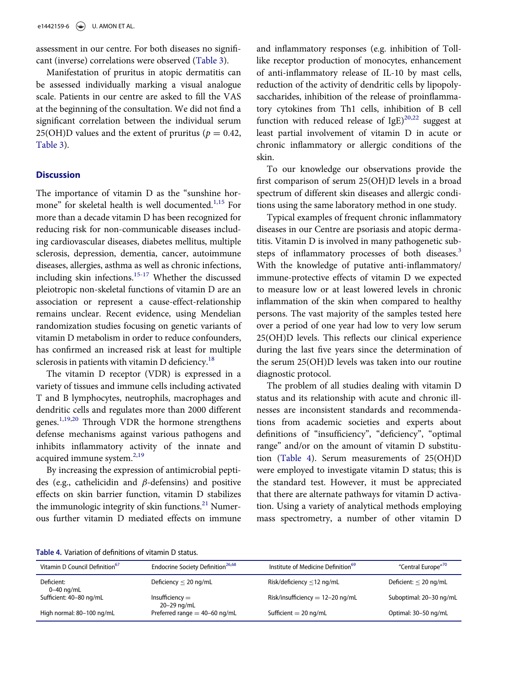assessment in our centre. For both diseases no significant (inverse) correlations were observed ([Table 3\)](#page-5-1).

<span id="page-6-4"></span>Manifestation of pruritus in atopic dermatitis can be assessed individually marking a visual analogue scale. Patients in our centre are asked to fill the VAS at the beginning of the consultation. We did not find a significant correlation between the individual serum 25(OH)D values and the extent of pruritus ( $p = 0.42$ , [Table 3\)](#page-5-1).

#### **Discussion**

<span id="page-6-1"></span>The importance of vitamin D as the "sunshine hor-mone" for skeletal health is well documented.<sup>[1](#page-10-1)[,15](#page-11-8)</sup> For more than a decade vitamin D has been recognized for reducing risk for non-communicable diseases including cardiovascular diseases, diabetes mellitus, multiple sclerosis, depression, dementia, cancer, autoimmune diseases, allergies, asthma as well as chronic infections, including skin infections.[15-17](#page-11-8) Whether the discussed pleiotropic non-skeletal functions of vitamin D are an association or represent a cause-effect-relationship remains unclear. Recent evidence, using Mendelian randomization studies focusing on genetic variants of vitamin D metabolism in order to reduce confounders, has confirmed an increased risk at least for multiple sclerosis in patients with vitamin D deficiency.<sup>[18](#page-11-9)</sup>

<span id="page-6-2"></span>The vitamin D receptor (VDR) is expressed in a variety of tissues and immune cells including activated T and B lymphocytes, neutrophils, macrophages and dendritic cells and regulates more than 2000 different genes.[1](#page-10-1),[19,](#page-11-10)[20](#page-11-11) Through VDR the hormone strengthens defense mechanisms against various pathogens and inhibits inflammatory activity of the innate and acquired immune system.<sup>[2](#page-10-2)[,19](#page-11-10)</sup>

<span id="page-6-5"></span><span id="page-6-3"></span>By increasing the expression of antimicrobial peptides (e.g., cathelicidin and  $\beta$ -defensins) and positive effects on skin barrier function, vitamin D stabilizes the immunologic integrity of skin functions. $^{21}$  $^{21}$  $^{21}$  Numerous further vitamin D mediated effects on immune and inflammatory responses (e.g. inhibition of Tolllike receptor production of monocytes, enhancement of anti-inflammatory release of IL-10 by mast cells, reduction of the activity of dendritic cells by lipopolysaccharides, inhibition of the release of proinflammatory cytokines from Th1 cells, inhibition of B cell function with reduced release of  $IgE)^{20,22}$  $IgE)^{20,22}$  $IgE)^{20,22}$  $IgE)^{20,22}$  suggest at least partial involvement of vitamin D in acute or chronic inflammatory or allergic conditions of the skin.

To our knowledge our observations provide the first comparison of serum 25(OH)D levels in a broad spectrum of different skin diseases and allergic conditions using the same laboratory method in one study.

Typical examples of frequent chronic inflammatory diseases in our Centre are psoriasis and atopic dermatitis. Vitamin D is involved in many pathogenetic sub-steps of inflammatory processes of both diseases.<sup>[3](#page-10-3)</sup> With the knowledge of putative anti-inflammatory/ immune-protective effects of vitamin D we expected to measure low or at least lowered levels in chronic inflammation of the skin when compared to healthy persons. The vast majority of the samples tested here over a period of one year had low to very low serum 25(OH)D levels. This reflects our clinical experience during the last five years since the determination of the serum 25(OH)D levels was taken into our routine diagnostic protocol.

The problem of all studies dealing with vitamin D status and its relationship with acute and chronic illnesses are inconsistent standards and recommendations from academic societies and experts about definitions of "insufficiency", "deficiency", "optimal range" and/or on the amount of vitamin D substitution ([Table 4](#page-6-0)). Serum measurements of 25(OH)D were employed to investigate vitamin D status; this is the standard test. However, it must be appreciated that there are alternate pathways for vitamin D activation. Using a variety of analytical methods employing mass spectrometry, a number of other vitamin D

<span id="page-6-8"></span><span id="page-6-7"></span><span id="page-6-6"></span>

|  | Table 4. Variation of definitions of vitamin D status. |  |
|--|--------------------------------------------------------|--|
|  |                                                        |  |

<span id="page-6-0"></span>

| Table 4. Variation of definitions of vitamin D status.<br>Vitamin D Council Definition <sup>67</sup> | Endocrine Society Definition <sup>26,68</sup> | Institute of Medicine Definition <sup>69</sup> | "Central Europe" <sup>70</sup> |
|------------------------------------------------------------------------------------------------------|-----------------------------------------------|------------------------------------------------|--------------------------------|
| Deficient:<br>$0-40$ ng/mL                                                                           | Deficiency $<$ 20 ng/mL                       | Risk/deficiency $\leq$ 12 ng/mL                | Deficient: $<$ 20 ng/mL        |
| Sufficient: 40-80 ng/mL                                                                              | $Insufficiency =$<br>20-29 ng/mL              | Risk/insufficiency $= 12 - 20$ ng/mL           | Suboptimal: 20-30 ng/mL        |
| High normal: 80-100 ng/mL                                                                            | Preferred range $=$ 40-60 ng/mL               | Sufficient = $20$ ng/mL                        | Optimal: 30-50 ng/mL           |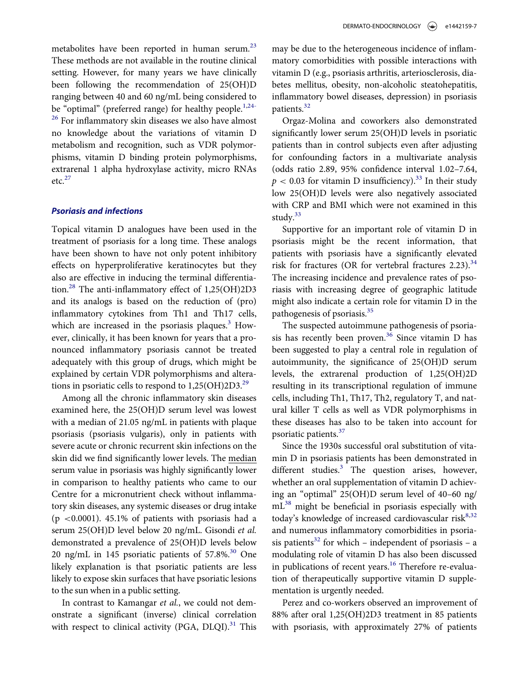<span id="page-7-2"></span><span id="page-7-1"></span>metabolites have been reported in human serum.<sup>[23](#page-11-15)</sup> These methods are not available in the routine clinical setting. However, for many years we have clinically been following the recommendation of 25(OH)D ranging between 40 and 60 ng/mL being considered to be "optimal" (preferred range) for healthy people.<sup>[1,](#page-10-1)[24-](#page-11-16)</sup> <sup>[26](#page-11-16)</sup> For inflammatory skin diseases we also have almost no knowledge about the variations of vitamin D metabolism and recognition, such as VDR polymorphisms, vitamin D binding protein polymorphisms, extrarenal 1 alpha hydroxylase activity, micro RNAs  $etc.<sup>27</sup>$  $etc.<sup>27</sup>$  $etc.<sup>27</sup>$ 

#### <span id="page-7-9"></span><span id="page-7-3"></span>Psoriasis and infections

<span id="page-7-11"></span><span id="page-7-10"></span><span id="page-7-4"></span>Topical vitamin D analogues have been used in the treatment of psoriasis for a long time. These analogs have been shown to have not only potent inhibitory effects on hyperproliferative keratinocytes but they also are effective in inducing the terminal differentiation.[28](#page-11-18) The anti-inflammatory effect of 1,25(OH)2D3 and its analogs is based on the reduction of (pro) inflammatory cytokines from Th1 and Th17 cells, which are increased in the psoriasis plaques. $3$  However, clinically, it has been known for years that a pronounced inflammatory psoriasis cannot be treated adequately with this group of drugs, which might be explained by certain VDR polymorphisms and alterations in psoriatic cells to respond to  $1,25(OH)2D3<sup>29</sup>$  $1,25(OH)2D3<sup>29</sup>$  $1,25(OH)2D3<sup>29</sup>$ .

<span id="page-7-13"></span><span id="page-7-12"></span><span id="page-7-5"></span>Among all the chronic inflammatory skin diseases examined here, the 25(OH)D serum level was lowest with a median of 21.05 ng/mL in patients with plaque psoriasis (psoriasis vulgaris), only in patients with severe acute or chronic recurrent skin infections on the skin did we find significantly lower levels. The median serum value in psoriasis was highly significantly lower in comparison to healthy patients who came to our Centre for a micronutrient check without inflammatory skin diseases, any systemic diseases or drug intake ( $p$  <0.0001). 45.1% of patients with psoriasis had a serum 25(OH)D level below 20 ng/mL. Gisondi et al. demonstrated a prevalence of 25(OH)D levels below 20 ng/mL in 145 psoriatic patients of  $57.8\%$ .<sup>30</sup> One likely explanation is that psoriatic patients are less likely to expose skin surfaces that have psoriatic lesions to the sun when in a public setting.

<span id="page-7-14"></span><span id="page-7-8"></span><span id="page-7-7"></span><span id="page-7-6"></span><span id="page-7-0"></span>In contrast to Kamangar et al., we could not demonstrate a significant (inverse) clinical correlation with respect to clinical activity (PGA, DLQI).<sup>[31](#page-12-1)</sup> This may be due to the heterogeneous incidence of inflammatory comorbidities with possible interactions with vitamin D (e.g., psoriasis arthritis, arteriosclerosis, diabetes mellitus, obesity, non-alcoholic steatohepatitis, inflammatory bowel diseases, depression) in psoriasis patients.<sup>[32](#page-12-2)</sup>

Orgaz-Molina and coworkers also demonstrated significantly lower serum 25(OH)D levels in psoriatic patients than in control subjects even after adjusting for confounding factors in a multivariate analysis (odds ratio 2.89, 95% confidence interval 1.02–7.64,  $p < 0.03$  for vitamin D insufficiency).<sup>33</sup> In their study low 25(OH)D levels were also negatively associated with CRP and BMI which were not examined in this study. $33$ 

Supportive for an important role of vitamin D in psoriasis might be the recent information, that patients with psoriasis have a significantly elevated risk for fractures (OR for vertebral fractures 2.23). $34$ The increasing incidence and prevalence rates of psoriasis with increasing degree of geographic latitude might also indicate a certain role for vitamin D in the pathogenesis of psoriasis.<sup>[35](#page-12-5)</sup>

The suspected autoimmune pathogenesis of psoriasis has recently been proven. $36$  Since vitamin D has been suggested to play a central role in regulation of autoimmunity, the significance of 25(OH)D serum levels, the extrarenal production of 1,25(OH)2D resulting in its transcriptional regulation of immune cells, including Th1, Th17, Th2, regulatory T, and natural killer T cells as well as VDR polymorphisms in these diseases has also to be taken into account for psoriatic patients.[37](#page-12-7)

Since the 1930s successful oral substitution of vitamin D in psoriasis patients has been demonstrated in different studies. $3$  The question arises, however, whether an oral supplementation of vitamin D achieving an "optimal" 25(OH)D serum level of 40–60 ng/ mL<sup>[38](#page-12-8)</sup> might be beneficial in psoriasis especially with today's knowledge of increased cardiovascular risk $8,32$  $8,32$ and numerous inflammatory comorbidities in psoriasis patients<sup>32</sup> for which – independent of psoriasis – a modulating role of vitamin D has also been discussed in publications of recent years.<sup>[16](#page-11-20)</sup> Therefore re-evaluation of therapeutically supportive vitamin D supplementation is urgently needed.

Perez and co-workers observed an improvement of 88% after oral 1,25(OH)2D3 treatment in 85 patients with psoriasis, with approximately 27% of patients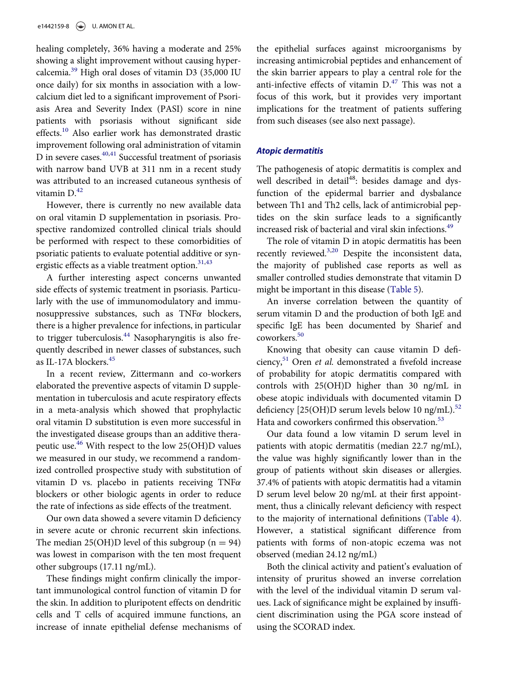<span id="page-8-7"></span><span id="page-8-0"></span>healing completely, 36% having a moderate and 25% showing a slight improvement without causing hypercalcemia.[39](#page-12-9) High oral doses of vitamin D3 (35,000 IU once daily) for six months in association with a lowcalcium diet led to a significant improvement of Psoriasis Area and Severity Index (PASI) score in nine patients with psoriasis without significant side effects.<sup>[10](#page-11-3)</sup> Also earlier work has demonstrated drastic improvement following oral administration of vitamin D in severe cases.<sup>[40,](#page-12-10)[41](#page-12-11)</sup> Successful treatment of psoriasis with narrow band UVB at 311 nm in a recent study was attributed to an increased cutaneous synthesis of vitamin  $D<sup>42</sup>$ 

<span id="page-8-8"></span><span id="page-8-2"></span><span id="page-8-1"></span>However, there is currently no new available data on oral vitamin D supplementation in psoriasis. Prospective randomized controlled clinical trials should be performed with respect to these comorbidities of psoriatic patients to evaluate potential additive or synergistic effects as a viable treatment option. $31,43$  $31,43$ 

<span id="page-8-3"></span>A further interesting aspect concerns unwanted side effects of systemic treatment in psoriasis. Particularly with the use of immunomodulatory and immunosuppressive substances, such as  $TNF\alpha$  blockers, there is a higher prevalence for infections, in particular to trigger tuberculosis.<sup>[44](#page-12-14)</sup> Nasopharyngitis is also frequently described in newer classes of substances, such as IL-17A blockers.[45](#page-12-15)

<span id="page-8-12"></span><span id="page-8-11"></span><span id="page-8-10"></span><span id="page-8-9"></span><span id="page-8-6"></span><span id="page-8-5"></span><span id="page-8-4"></span>In a recent review, Zittermann and co-workers elaborated the preventive aspects of vitamin D supplementation in tuberculosis and acute respiratory effects in a meta-analysis which showed that prophylactic oral vitamin D substitution is even more successful in the investigated disease groups than an additive therapeutic use.[46](#page-12-16) With respect to the low 25(OH)D values we measured in our study, we recommend a randomized controlled prospective study with substitution of vitamin D vs. placebo in patients receiving  $TNF\alpha$ blockers or other biologic agents in order to reduce the rate of infections as side effects of the treatment.

Our own data showed a severe vitamin D deficiency in severe acute or chronic recurrent skin infections. The median 25(OH)D level of this subgroup ( $n = 94$ ) was lowest in comparison with the ten most frequent other subgroups (17.11 ng/mL).

These findings might confirm clinically the important immunological control function of vitamin D for the skin. In addition to pluripotent effects on dendritic cells and T cells of acquired immune functions, an increase of innate epithelial defense mechanisms of

the epithelial surfaces against microorganisms by increasing antimicrobial peptides and enhancement of the skin barrier appears to play a central role for the anti-infective effects of vitamin  $D<sup>47</sup>$  This was not a focus of this work, but it provides very important implications for the treatment of patients suffering from such diseases (see also next passage).

## Atopic dermatitis

The pathogenesis of atopic dermatitis is complex and well described in detail<sup>48</sup>: besides damage and dysfunction of the epidermal barrier and dysbalance between Th1 and Th2 cells, lack of antimicrobial peptides on the skin surface leads to a significantly increased risk of bacterial and viral skin infections[.49](#page-12-18)

The role of vitamin D in atopic dermatitis has been recently reviewed.<sup>[3](#page-10-3),[20](#page-11-11)</sup> Despite the inconsistent data, the majority of published case reports as well as smaller controlled studies demonstrate that vitamin D might be important in this disease ([Table 5](#page-9-0)).

An inverse correlation between the quantity of serum vitamin D and the production of both IgE and specific IgE has been documented by Sharief and coworkers.<sup>[50](#page-12-19)</sup>

Knowing that obesity can cause vitamin D deficiency, $51$  Oren *et al.* demonstrated a fivefold increase of probability for atopic dermatitis compared with controls with 25(OH)D higher than 30 ng/mL in obese atopic individuals with documented vitamin D deficiency  $[25(OH)D$  serum levels below 10 ng/mL).<sup>[52](#page-12-21)</sup> Hata and coworkers confirmed this observation.<sup>[53](#page-12-22)</sup>

Our data found a low vitamin D serum level in patients with atopic dermatitis (median 22.7 ng/mL), the value was highly significantly lower than in the group of patients without skin diseases or allergies. 37.4% of patients with atopic dermatitis had a vitamin D serum level below 20 ng/mL at their first appointment, thus a clinically relevant deficiency with respect to the majority of international definitions ([Table 4](#page-6-0)). However, a statistical significant difference from patients with forms of non-atopic eczema was not observed (median 24.12 ng/mL)

Both the clinical activity and patient's evaluation of intensity of pruritus showed an inverse correlation with the level of the individual vitamin D serum values. Lack of significance might be explained by insufficient discrimination using the PGA score instead of using the SCORAD index.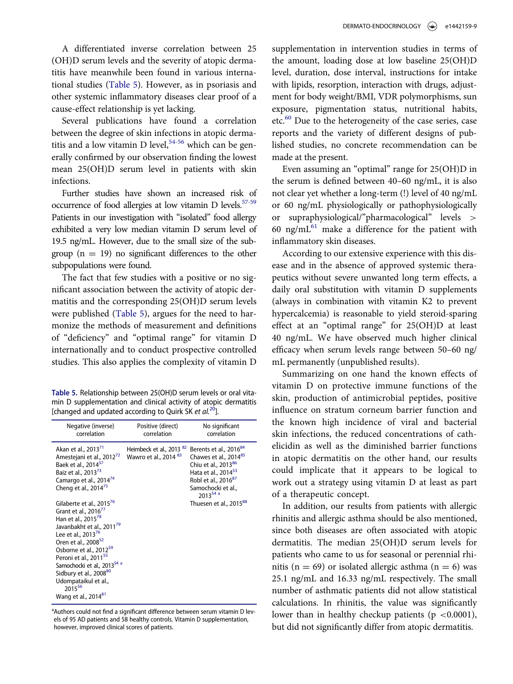A differentiated inverse correlation between 25 (OH)D serum levels and the severity of atopic dermatitis have meanwhile been found in various international studies [\(Table 5](#page-9-0)). However, as in psoriasis and other systemic inflammatory diseases clear proof of a cause-effect relationship is yet lacking.

<span id="page-9-7"></span>Several publications have found a correlation between the degree of skin infections in atopic dermatitis and a low vitamin D level,  $54-56$  which can be generally confirmed by our observation finding the lowest mean 25(OH)D serum level in patients with skin infections.

<span id="page-9-8"></span>Further studies have shown an increased risk of occurrence of food allergies at low vitamin D levels.<sup>57-59</sup> Patients in our investigation with "isolated" food allergy exhibited a very low median vitamin D serum level of 19.5 ng/mL. However, due to the small size of the subgroup  $(n = 19)$  no significant differences to the other subpopulations were found.

The fact that few studies with a positive or no significant association between the activity of atopic dermatitis and the corresponding 25(OH)D serum levels were published ([Table 5\)](#page-9-0), argues for the need to harmonize the methods of measurement and definitions of "deficiency" and "optimal range" for vitamin D internationally and to conduct prospective controlled studies. This also applies the complexity of vitamin D

<span id="page-9-0"></span>Table 5. Relationship between 25(OH)D serum levels or oral vitamin D supplementation and clinical activity of atopic dermatitis [changed and updated according to Quirk SK et  $al.^{20}$  $al.^{20}$  $al.^{20}$ ].

<span id="page-9-20"></span><span id="page-9-15"></span><span id="page-9-13"></span><span id="page-9-12"></span><span id="page-9-11"></span><span id="page-9-10"></span><span id="page-9-9"></span><span id="page-9-5"></span>

| Negative (inverse)<br>correlation                                                                                                                                                                                                                                                                                                                                                                                                                                     | Positive (direct)<br>correlation                                        | No significant<br>correlation                                                                                                                                                                                      |
|-----------------------------------------------------------------------------------------------------------------------------------------------------------------------------------------------------------------------------------------------------------------------------------------------------------------------------------------------------------------------------------------------------------------------------------------------------------------------|-------------------------------------------------------------------------|--------------------------------------------------------------------------------------------------------------------------------------------------------------------------------------------------------------------|
| Akan et al., 2013 <sup>71</sup><br>Amestejani et al., 2012 <sup>72</sup><br>Baek et al., 2014 <sup>57</sup><br>Baiz et al., 2013 <sup>73</sup><br>Camargo et al., 2014 <sup>74</sup><br>Cheng et al., 2014 <sup>75</sup>                                                                                                                                                                                                                                              | Heimbeck et al., 2013 <sup>82</sup><br>Wawro et al., 2014 <sup>83</sup> | Berents et al., 2016 <sup>84</sup><br>Chawes et al., 2014 <sup>85</sup><br>Chiu et al., 201386<br>Hata et al., 2014 <sup>53</sup><br>Robl et al., 2016 <sup>87</sup><br>Samochocki et al.,<br>2013 <sup>54</sup> a |
| Gilaberte et al., 2015 <sup>76</sup><br>Grant et al., 2016 <sup>//</sup><br>Han et al., 2015 <sup>78</sup><br>Javanbakht et al., 2011 <sup>79</sup><br>Lee et al., 2013 <sup>76</sup><br>Oren et al., 2008 <sup>52</sup><br>Osborne et al., 2012 <sup>59</sup><br>Peroni et al., 2011 <sup>55</sup><br>Samochocki et al., 2013 <sup>54 a</sup><br>Sidbury et al., 2008 <sup>80</sup><br>Udompataikul et al.,<br>2015 <sup>56</sup><br>Wang et al., 2014 <sup>81</sup> |                                                                         | Thuesen et al., 2015 <sup>88</sup>                                                                                                                                                                                 |

<span id="page-9-19"></span><span id="page-9-18"></span><span id="page-9-17"></span><span id="page-9-16"></span><span id="page-9-14"></span><span id="page-9-6"></span><span id="page-9-4"></span><span id="page-9-3"></span><span id="page-9-2"></span><span id="page-9-1"></span><sup>a</sup>Authors could not find a significant difference between serum vitamin D levels of 95 AD patients and 58 healthy controls. Vitamin D supplementation, however, improved clinical scores of patients.

supplementation in intervention studies in terms of the amount, loading dose at low baseline 25(OH)D level, duration, dose interval, instructions for intake with lipids, resorption, interaction with drugs, adjustment for body weight/BMI, VDR polymorphisms, sun exposure, pigmentation status, nutritional habits, etc.<sup>[60](#page-13-6)</sup> Due to the heterogeneity of the case series, case reports and the variety of different designs of published studies, no concrete recommendation can be made at the present.

Even assuming an "optimal" range for 25(OH)D in the serum is defined between 40–60 ng/mL, it is also not clear yet whether a long-term (!) level of 40 ng/mL or 60 ng/mL physiologically or pathophysiologically or supraphysiological/"pharmacological" levels > 60 ng/m $L^{61}$  $L^{61}$  $L^{61}$  make a difference for the patient with inflammatory skin diseases.

According to our extensive experience with this disease and in the absence of approved systemic therapeutics without severe unwanted long term effects, a daily oral substitution with vitamin D supplements (always in combination with vitamin K2 to prevent hypercalcemia) is reasonable to yield steroid-sparing effect at an "optimal range" for 25(OH)D at least 40 ng/mL. We have observed much higher clinical efficacy when serum levels range between 50–60 ng/ mL permanently (unpublished results).

Summarizing on one hand the known effects of vitamin D on protective immune functions of the skin, production of antimicrobial peptides, positive influence on stratum corneum barrier function and the known high incidence of viral and bacterial skin infections, the reduced concentrations of cathelicidin as well as the diminished barrier functions in atopic dermatitis on the other hand, our results could implicate that it appears to be logical to work out a strategy using vitamin D at least as part of a therapeutic concept.

In addition, our results from patients with allergic rhinitis and allergic asthma should be also mentioned, since both diseases are often associated with atopic dermatitis. The median 25(OH)D serum levels for patients who came to us for seasonal or perennial rhinitis (n = 69) or isolated allergic asthma (n = 6) was 25.1 ng/mL and 16.33 ng/mL respectively. The small number of asthmatic patients did not allow statistical calculations. In rhinitis, the value was significantly lower than in healthy checkup patients ( $p < 0.0001$ ), but did not significantly differ from atopic dermatitis.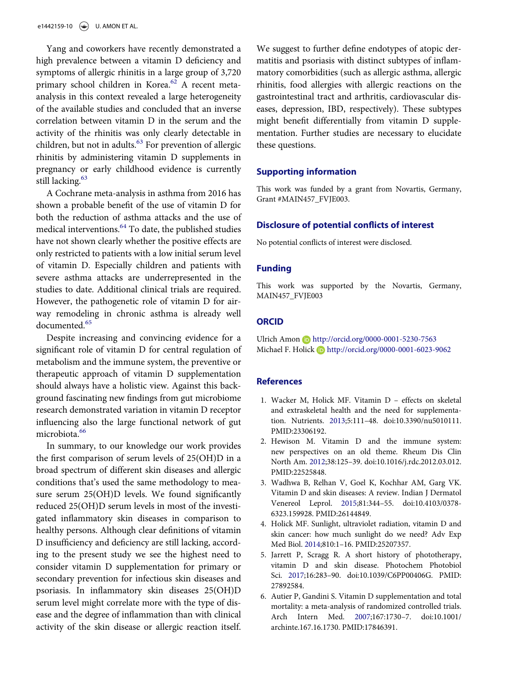<span id="page-10-7"></span>Yang and coworkers have recently demonstrated a high prevalence between a vitamin D deficiency and symptoms of allergic rhinitis in a large group of 3,720 primary school children in Korea.<sup>[62](#page-13-15)</sup> A recent metaanalysis in this context revealed a large heterogeneity of the available studies and concluded that an inverse correlation between vitamin D in the serum and the activity of the rhinitis was only clearly detectable in children, but not in adults.<sup>[63](#page-13-16)</sup> For prevention of allergic rhinitis by administering vitamin D supplements in pregnancy or early childhood evidence is currently still lacking.<sup>[63](#page-13-16)</sup>

<span id="page-10-9"></span><span id="page-10-8"></span>A Cochrane meta-analysis in asthma from 2016 has shown a probable benefit of the use of vitamin D for both the reduction of asthma attacks and the use of medical interventions.[64](#page-13-17) To date, the published studies have not shown clearly whether the positive effects are only restricted to patients with a low initial serum level of vitamin D. Especially children and patients with severe asthma attacks are underrepresented in the studies to date. Additional clinical trials are required. However, the pathogenetic role of vitamin D for airway remodeling in chronic asthma is already well documented.<sup>[65](#page-13-18)</sup>

<span id="page-10-10"></span><span id="page-10-0"></span>Despite increasing and convincing evidence for a significant role of vitamin D for central regulation of metabolism and the immune system, the preventive or therapeutic approach of vitamin D supplementation should always have a holistic view. Against this background fascinating new findings from gut microbiome research demonstrated variation in vitamin D receptor influencing also the large functional network of gut microbiota.<sup>[66](#page-13-19)</sup>

<span id="page-10-11"></span><span id="page-10-6"></span><span id="page-10-5"></span><span id="page-10-4"></span><span id="page-10-3"></span><span id="page-10-2"></span><span id="page-10-1"></span>In summary, to our knowledge our work provides the first comparison of serum levels of 25(OH)D in a broad spectrum of different skin diseases and allergic conditions that's used the same methodology to measure serum 25(OH)D levels. We found significantly reduced 25(OH)D serum levels in most of the investigated inflammatory skin diseases in comparison to healthy persons. Although clear definitions of vitamin D insufficiency and deficiency are still lacking, according to the present study we see the highest need to consider vitamin D supplementation for primary or secondary prevention for infectious skin diseases and psoriasis. In inflammatory skin diseases 25(OH)D serum level might correlate more with the type of disease and the degree of inflammation than with clinical activity of the skin disease or allergic reaction itself.

We suggest to further define endotypes of atopic dermatitis and psoriasis with distinct subtypes of inflammatory comorbidities (such as allergic asthma, allergic rhinitis, food allergies with allergic reactions on the gastrointestinal tract and arthritis, cardiovascular diseases, depression, IBD, respectively). These subtypes might benefit differentially from vitamin D supplementation. Further studies are necessary to elucidate these questions.

### Supporting information

This work was funded by a grant from Novartis, Germany, Grant #MAIN457\_FVJE003.

#### Disclosure of potential conflicts of interest

No potential conflicts of interest were disclosed.

#### Funding

This work was supported by the Novartis, Germany, MAIN457\_FVJE003

#### **ORCID**

Ulrich Amon **b** <http://orcid.org/0000-0001-5230-7563> Michael F. Holick **<http://orcid.org/0000-0001-6023-9062>** 

#### References

- 1. Wacker M, Holick MF. Vitamin D effects on skeletal and extraskeletal health and the need for supplementation. Nutrients. [2013;](#page-1-2)5:111–48. doi[:10.3390/nu5010111.](https://doi.org/10.3390/nu5010111) [PMID:23306192.](https://doi.org/23306192)
- 2. Hewison M. Vitamin D and the immune system: new perspectives on an old theme. Rheum Dis Clin North Am. [2012](#page-1-3);38:125–39. doi[:10.1016/j.rdc.2012.03.012.](https://doi.org/10.1016/j.rdc.2012.03.012) [PMID:22525848.](https://doi.org/22525848)
- 3. Wadhwa B, Relhan V, Goel K, Kochhar AM, Garg VK. Vitamin D and skin diseases: A review. Indian J Dermatol Venereol Leprol. [2015](#page-1-4);81:344–55. doi[:10.4103/0378-](https://doi.org/10.4103/0378-6323.159928) [6323.159928. PMID:26144849.](https://doi.org/26144849)
- 4. Holick MF. Sunlight, ultraviolet radiation, vitamin D and skin cancer: how much sunlight do we need? Adv Exp Med Biol. [2014;](#page-1-5)810:1–16. PMID[:25207357.](https://doi.org/25207357)
- 5. Jarrett P, Scragg R. A short history of phototherapy, vitamin D and skin disease. Photochem Photobiol Sci. [2017](#page-2-0);16:283–90. doi[:10.1039/C6PP00406G. PMID:](https://doi.org/10.1039/C6PP00406G) [27892584.](https://doi.org/27892584)
- 6. Autier P, Gandini S. Vitamin D supplementation and total mortality: a meta-analysis of randomized controlled trials. Arch Intern Med. [2007;](#page-2-1)167:1730–7. doi:[10.1001/](https://doi.org/10.1001/archinte.167.16.1730) [archinte.167.16.1730. PMID:17846391.](https://doi.org/17846391)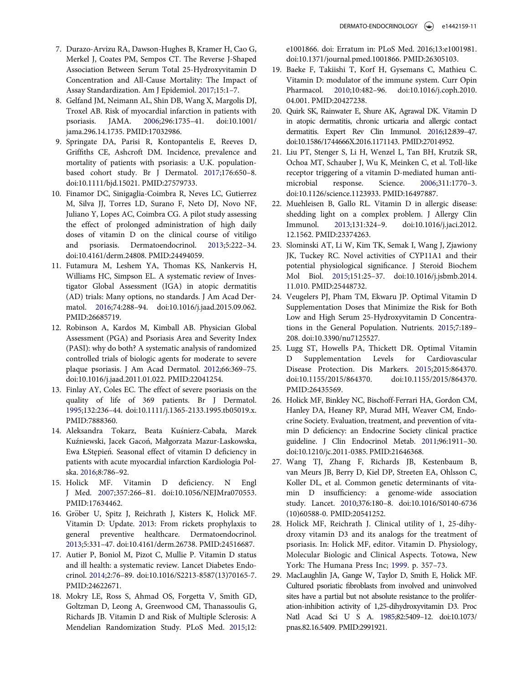- <span id="page-11-10"></span><span id="page-11-0"></span>7. Durazo-Arvizu RA, Dawson-Hughes B, Kramer H, Cao G, Merkel J, Coates PM, Sempos CT. The Reverse J-Shaped Association Between Serum Total 25-Hydroxyvitamin D Concentration and All-Cause Mortality: The Impact of Assay Standardization. Am J Epidemiol. [2017;](#page-2-1)15:1–7.
- <span id="page-11-11"></span><span id="page-11-1"></span>8. Gelfand JM, Neimann AL, Shin DB, Wang X, Margolis DJ, Troxel AB. Risk of myocardial infarction in patients with psoriasis. JAMA. [2006](#page-2-2);296:1735–41. doi:[10.1001/](https://doi.org/10.1001/jama.296.14.1735) [jama.296.14.1735. PMID:17032986.](https://doi.org/17032986)
- <span id="page-11-12"></span><span id="page-11-2"></span>9. Springate DA, Parisi R, Kontopantelis E, Reeves D, Griffiths CE, Ashcroft DM. Incidence, prevalence and mortality of patients with psoriasis: a U.K. populationbased cohort study. Br J Dermatol. [2017](#page-2-2);176:650–8. doi:[10.1111/bjd.15021. PMID:27579733.](https://doi.org/27579733)
- <span id="page-11-13"></span><span id="page-11-3"></span>10. Finamor DC, Sinigaglia-Coimbra R, Neves LC, Gutierrez M, Silva JJ, Torres LD, Surano F, Neto DJ, Novo NF, Juliano Y, Lopes AC, Coimbra CG. A pilot study assessing the effect of prolonged administration of high daily doses of vitamin D on the clinical course of vitiligo and psoriasis. Dermatoendocrinol. [2013;](#page-2-3)5:222–34. doi:[10.4161/derm.24808. PMID:24494059.](https://doi.org/24494059)
- <span id="page-11-16"></span><span id="page-11-15"></span><span id="page-11-4"></span>11. Futamura M, Leshem YA, Thomas KS, Nankervis H, Williams HC, Simpson EL. A systematic review of Investigator Global Assessment (IGA) in atopic dermatitis (AD) trials: Many options, no standards. J Am Acad Dermatol. [2016;](#page-2-4)74:288–94. doi:[10.1016/j.jaad.2015.09.062.](https://doi.org/10.1016/j.jaad.2015.09.062) [PMID:26685719.](https://doi.org/26685719)
- <span id="page-11-5"></span>12. Robinson A, Kardos M, Kimball AB. Physician Global Assessment (PGA) and Psoriasis Area and Severity Index (PASI): why do both? A systematic analysis of randomized controlled trials of biologic agents for moderate to severe plaque psoriasis. J Am Acad Dermatol. [2012](#page-2-5);66:369–75. doi:[10.1016/j.jaad.2011.01.022. PMID:22041254.](https://doi.org/22041254)
- <span id="page-11-14"></span><span id="page-11-6"></span>13. Finlay AY, Coles EC. The effect of severe psoriasis on the quality of life of 369 patients. Br J Dermatol. [1995;](#page-2-6)132:236–44. doi:[10.1111/j.1365-2133.1995.tb05019.x.](https://doi.org/10.1111/j.1365-2133.1995.tb05019.x) [PMID:7888360.](https://doi.org/7888360)
- <span id="page-11-7"></span>14. Aleksandra Tokarz, Beata Kuśnierz-Cabała, Marek Kuźniewski, Jacek Gacoń, Małgorzata Mazur-Laskowska, Ewa ŁStępień. Seasonal effect of vitamin D deficiency in patients with acute myocardial infarction Kardiologia Polska. [2016](#page-2-7);8:786–92.
- <span id="page-11-17"></span><span id="page-11-8"></span>15. Holick MF. Vitamin D deficiency. N Engl J Med. [2007;](#page-6-1)357:266–81. doi[:10.1056/NEJMra070553.](https://doi.org/10.1056/NEJMra070553) [PMID:17634462.](https://doi.org/17634462)
- <span id="page-11-20"></span><span id="page-11-18"></span>16. Gröber U, Spitz J, Reichrath J, Kisters K, Holick MF. Vitamin D: Update. [201](#page-7-0)3: From rickets prophylaxis to general preventive healthcare. Dermatoendocrinol. [2013;](#page-7-0)5:331–47. doi[:10.4161/derm.26738. PMID:24516687.](https://doi.org/24516687)
- <span id="page-11-19"></span>17. Autier P, Boniol M, Pizot C, Mullie P. Vitamin D status and ill health: a systematic review. Lancet Diabetes Endocrinol. 2014;2:76–89. doi[:10.1016/S2213-8587\(13\)70165-7.](https://doi.org/10.1016/S2213-8587(13)70165-7) [PMID:24622671.](https://doi.org/24622671)
- <span id="page-11-9"></span>18. Mokry LE, Ross S, Ahmad OS, Forgetta V, Smith GD, Goltzman D, Leong A, Greenwood CM, Thanassoulis G, Richards JB. Vitamin D and Risk of Multiple Sclerosis: A Mendelian Randomization Study. PLoS Med. [2015;](#page-6-2)12:

e1001866. doi: Erratum in: PLoS Med. 2016;13:e1001981. doi:[10.1371/journal.pmed.1001866. PMID:26305103.](https://doi.org/26305103)

- 19. Baeke F, Takiishi T, Korf H, Gysemans C, Mathieu C. Vitamin D: modulator of the immune system. Curr Opin Pharmacol. [2010](#page-6-3);10:482–96. doi:[10.1016/j.coph.2010.](https://doi.org/10.1016/j.coph.2010.04.001) [04.001. PMID:20427238.](https://doi.org/20427238)
- 20. Quirk SK, Rainwater E, Shure AK, Agrawal DK. Vitamin D in atopic dermatitis, chronic urticaria and allergic contact dermatitis. Expert Rev Clin Immunol. [2016](#page-6-4);12:839–47. doi:[10.1586/1744666X.2016.1171143. PMID:27014952.](https://doi.org/27014952)
- 21. Liu PT, Stenger S, Li H, Wenzel L, Tan BH, Krutzik SR, Ochoa MT, Schauber J, Wu K, Meinken C, et al. Toll-like receptor triggering of a vitamin D-mediated human antimicrobial response. Science. [2006;](#page-6-5)311:1770–3. doi:[10.1126/science.1123933. PMID:16497887.](https://doi.org/16497887)
- 22. Muehleisen B, Gallo RL. Vitamin D in allergic disease: shedding light on a complex problem. J Allergy Clin Immunol. [2013](#page-6-4);131:324–9. doi[:10.1016/j.jaci.2012.](https://doi.org/10.1016/j.jaci.2012.12.1562) [12.1562. PMID:23374263.](https://doi.org/23374263)
- 23. Slominski AT, Li W, Kim TK, Semak I, Wang J, Zjawiony JK, Tuckey RC. Novel activities of CYP11A1 and their potential physiological significance. J Steroid Biochem Mol Biol. [2015;](#page-7-1)151:25–37. doi[:10.1016/j.jsbmb.2014.](https://doi.org/10.1016/j.jsbmb.2014.11.010) [11.010. PMID:25448732.](https://doi.org/25448732)
- 24. Veugelers PJ, Pham TM, Ekwaru JP. Optimal Vitamin D Supplementation Doses that Minimize the Risk for Both Low and High Serum 25-Hydroxyvitamin D Concentrations in the General Population. Nutrients. [2015](#page-7-2);7:189– 208. doi:[10.3390/nu7125527.](https://doi.org/10.3390/nu7125527)
- 25. Lugg ST, Howells PA, Thickett DR. Optimal Vitamin Supplementation Levels for Cardiovascular Disease Protection. Dis Markers. 2015;2015:864370. doi[:10.1155/2015/864370. doi:10.1155/2015/864370.](https://doi.org/10.1155/2015/864370) [PMID:26435569.](https://doi.org/26435569)
- 26. Holick MF, Binkley NC, Bischoff-Ferrari HA, Gordon CM, Hanley DA, Heaney RP, Murad MH, Weaver CM, Endocrine Society. Evaluation, treatment, and prevention of vitamin D deficiency: an Endocrine Society clinical practice guideline. J Clin Endocrinol Metab. [2011;](#page-6-6)96:1911–30. doi[:10.1210/jc.2011-0385. PMID:21646368.](https://doi.org/21646368)
- 27. Wang TJ, Zhang F, Richards JB, Kestenbaum B, van Meurs JB, Berry D, Kiel DP, Streeten EA, Ohlsson C, Koller DL, et al. Common genetic determinants of vitamin D insufficiency: a genome-wide association study. Lancet. [2010](#page-7-3);376:180–8. doi[:10.1016/S0140-6736](https://doi.org/10.1016/S0140-6736(10)60588-0) [\(10\)60588-0. PMID:20541252.](https://doi.org/20541252)
- 28. Holick MF, Reichrath J. Clinical utility of 1, 25-dihydroxy vitamin D3 and its analogs for the treatment of psoriasis. In: Holick MF, editor. Vitamin D. Physiology, Molecular Biologic and Clinical Aspects. Totowa, New York: The Humana Press Inc; [1999.](#page-7-4) p. 357–73.
- 29. MacLaughlin JA, Gange W, Taylor D, Smith E, Holick MF. Cultured psoriatic fibroblasts from involved and uninvolved sites have a partial but not absolute resistance to the proliferation-inhibition activity of 1,25-dihydroxyvitamin D3. Proc Natl Acad Sci U S A. [1985](#page-7-5);82:5409–12. doi[:10.1073/](https://doi.org/10.1073/pnas.82.16.5409) [pnas.82.16.5409. PMID:2991921.](https://doi.org/2991921)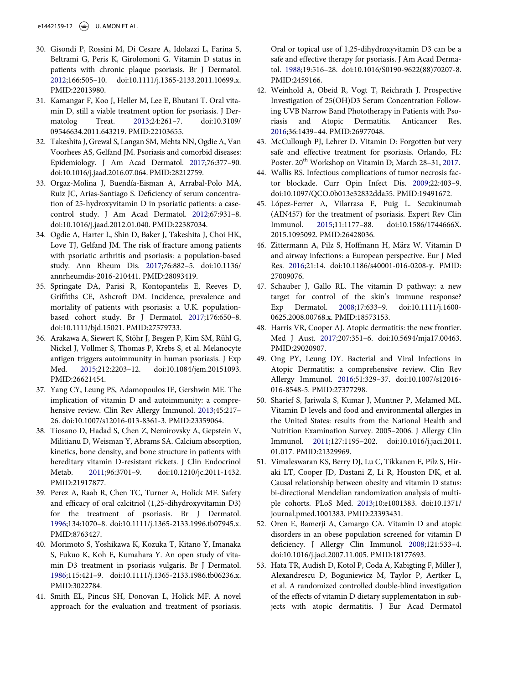- <span id="page-12-0"></span>30. Gisondi P, Rossini M, Di Cesare A, Idolazzi L, Farina S, Beltrami G, Peris K, Girolomoni G. Vitamin D status in patients with chronic plaque psoriasis. Br J Dermatol. [2012;](#page-7-6)166:505–10. doi[:10.1111/j.1365-2133.2011.10699.x.](https://doi.org/10.1111/j.1365-2133.2011.10699.x) [PMID:22013980.](https://doi.org/22013980)
- <span id="page-12-12"></span><span id="page-12-1"></span>31. Kamangar F, Koo J, Heller M, Lee E, Bhutani T. Oral vitamin D, still a viable treatment option for psoriasis. J Dermatolog Treat. [2013;](#page-7-7)24:261–7. doi:[10.3109/](https://doi.org/10.3109/09546634.2011.643219) [09546634.2011.643219. PMID:22103655.](https://doi.org/22103655)
- <span id="page-12-13"></span><span id="page-12-2"></span>32. Takeshita J, Grewal S, Langan SM, Mehta NN, Ogdie A, Van Voorhees AS, Gelfand JM. Psoriasis and comorbid diseases: Epidemiology. J Am Acad Dermatol. [2017](#page-7-8);76:377–90. doi[:10.1016/j.jaad.2016.07.064. PMID:28212759.](https://doi.org/28212759)
- <span id="page-12-15"></span><span id="page-12-14"></span><span id="page-12-3"></span>33. Orgaz-Molina J, Buendıa-Eisman A, Arrabal-Polo MA, Ruiz JC, Arias-Santiago S. Deficiency of serum concentration of 25-hydroxyvitamin D in psoriatic patients: a casecontrol study. J Am Acad Dermatol. [2012;](#page-7-9)67:931–8. doi:[10.1016/j.jaad.2012.01.040. PMID:22387034.](https://doi.org/22387034)
- <span id="page-12-16"></span><span id="page-12-4"></span>34. Ogdie A, Harter L, Shin D, Baker J, Takeshita J, Choi HK, Love TJ, Gelfand JM. The risk of fracture among patients with psoriatic arthritis and psoriasis: a population-based study. Ann Rheum Dis. [2017](#page-7-10);76:882–5. doi:[10.1136/](https://doi.org/10.1136/annrheumdis-2016-210441) [annrheumdis-2016-210441. PMID:28093419.](https://doi.org/28093419)
- <span id="page-12-17"></span><span id="page-12-5"></span>35. Springate DA, Parisi R, Kontopantelis E, Reeves D, Griffiths CE, Ashcroft DM. Incidence, prevalence and mortality of patients with psoriasis: a U.K. populationbased cohort study. Br J Dermatol. [2017](#page-7-11);176:650–8. doi:[10.1111/bjd.15021. PMID:27579733.](https://doi.org/27579733)
- <span id="page-12-18"></span><span id="page-12-6"></span>36. Arakawa A, Siewert K, Stöhr J, Besgen P, Kim SM, Rühl G, Nickel J, Vollmer S, Thomas P, Krebs S, et al. Melanocyte antigen triggers autoimmunity in human psoriasis. J Exp Med. [2015](#page-7-12);212:2203–12. doi[:10.1084/jem.20151093.](https://doi.org/10.1084/jem.20151093) [PMID:26621454.](https://doi.org/26621454)
- <span id="page-12-19"></span><span id="page-12-7"></span>37. Yang CY, Leung PS, Adamopoulos IE, Gershwin ME. The implication of vitamin D and autoimmunity: a comprehensive review. Clin Rev Allergy Immunol. [2013](#page-7-13);45:217– 26. doi[:10.1007/s12016-013-8361-3. PMID:23359064.](https://doi.org/23359064)
- <span id="page-12-20"></span><span id="page-12-8"></span>38. Tiosano D, Hadad S, Chen Z, Nemirovsky A, Gepstein V, Militianu D, Weisman Y, Abrams SA. Calcium absorption, kinetics, bone density, and bone structure in patients with hereditary vitamin D-resistant rickets. J Clin Endocrinol Metab. [2011](#page-7-14);96:3701–9. doi:[10.1210/jc.2011-1432.](https://doi.org/10.1210/jc.2011-1432) [PMID:21917877.](https://doi.org/21917877)
- <span id="page-12-9"></span>39. Perez A, Raab R, Chen TC, Turner A, Holick MF. Safety and efficacy of oral calcitriol (1,25-dihydroxyvitamin D3) for the treatment of psoriasis. Br J Dermatol. [1996;](#page-8-0)134:1070–8. doi:[10.1111/j.1365-2133.1996.tb07945.x.](https://doi.org/10.1111/j.1365-2133.1996.tb07945.x) [PMID:8763427.](https://doi.org/8763427)
- <span id="page-12-22"></span><span id="page-12-21"></span><span id="page-12-10"></span>40. Morimoto S, Yoshikawa K, Kozuka T, Kitano Y, Imanaka S, Fukuo K, Koh E, Kumahara Y. An open study of vitamin D3 treatment in psoriasis vulgaris. Br J Dermatol. [1986;](#page-8-1)115:421–9. doi:[10.1111/j.1365-2133.1986.tb06236.x.](https://doi.org/10.1111/j.1365-2133.1986.tb06236.x) [PMID:3022784.](https://doi.org/3022784)
- <span id="page-12-11"></span>41. Smith EL, Pincus SH, Donovan L, Holick MF. A novel approach for the evaluation and treatment of psoriasis.

Oral or topical use of 1,25-dihydroxyvitamin D3 can be a safe and effective therapy for psoriasis. J Am Acad Dermatol. [1988](#page-8-1);19:516–28. doi:[10.1016/S0190-9622\(88\)70207-8.](https://doi.org/10.1016/S0190-9622(88)70207-8) [PMID:2459166.](https://doi.org/2459166)

- 42. Weinhold A, Obeid R, Vogt T, Reichrath J. Prospective Investigation of 25(OH)D3 Serum Concentration Following UVB Narrow Band Phototherapy in Patients with Psoriasis and Atopic Dermatitis. Anticancer Res. [2016;](#page-8-2)36:1439–44. PMID[:26977048.](https://doi.org/26977048)
- 43. McCullough PJ, Lehrer D. Vitamin D: Forgotten but very safe and effective treatment for psoriasis. Orlando, FL: Poster. 20<sup>th</sup> Workshop on Vitamin D; March 28-31, [2017.](#page-8-3)
- 44. Wallis RS. Infectious complications of tumor necrosis factor blockade. Curr Opin Infect Dis. [2009](#page-8-4);22:403–9. doi:[10.1097/QCO.0b013e32832dda55. PMID:19491672.](https://doi.org/19491672)
- 45. López-Ferrer A, Vilarrasa E, Puig L. Secukinumab (AIN457) for the treatment of psoriasis. Expert Rev Clin Immunol. [2015](#page-8-5);11:1177–88. doi:[10.1586/1744666X.](https://doi.org/10.1586/1744666X.2015.1095092) [2015.1095092. PMID:26428036.](https://doi.org/26428036)
- 46. Zittermann A, Pilz S, Hoffmann H, März W. Vitamin D and airway infections: a European perspective. Eur J Med Res. [2016](#page-8-6);21:14. doi[:10.1186/s40001-016-0208-y. PMID:](https://doi.org/10.1186/s40001-016-0208-y) [27009076.](https://doi.org/27009076)
- 47. Schauber J, Gallo RL. The vitamin D pathway: a new target for control of the skin's immune response? Exp Dermatol. [2008;](#page-8-7)17:633–9. doi[:10.1111/j.1600-](https://doi.org/10.1111/j.1600-0625.2008.00768.x) [0625.2008.00768.x. PMID:18573153.](https://doi.org/18573153)
- 48. Harris VR, Cooper AJ. Atopic dermatitis: the new frontier. Med J Aust. 2017;207:351–6. doi:[10.5694/mja17.00463.](https://doi.org/10.5694/mja17.00463) [PMID:29020907.](https://doi.org/29020907)
- 49. Ong PY, Leung DY. Bacterial and Viral Infections in Atopic Dermatitis: a comprehensive review. Clin Rev Allergy Immunol. [2016](#page-8-8);51:329–37. doi[:10.1007/s12016-](https://doi.org/10.1007/s12016-016-8548-5) [016-8548-5. PMID:27377298.](https://doi.org/27377298)
- 50. Sharief S, Jariwala S, Kumar J, Muntner P, Melamed ML. Vitamin D levels and food and environmental allergies in the United States: results from the National Health and Nutrition Examination Survey. 2005–2006. J Allergy Clin Immunol. [2011;](#page-8-9)127:1195–202. doi[:10.1016/j.jaci.2011.](https://doi.org/10.1016/j.jaci.2011.01.017) [01.017. PMID:21329969.](https://doi.org/21329969)
- 51. Vimaleswaran KS, Berry DJ, Lu C, Tikkanen E, Pilz S, Hiraki LT, Cooper JD, Dastani Z, Li R, Houston DK, et al. Causal relationship between obesity and vitamin D status: bi-directional Mendelian randomization analysis of multiple cohorts. PLoS Med. [2013;](#page-8-10)10:e1001383. doi:[10.1371/](https://doi.org/10.1371/journal.pmed.1001383) [journal.pmed.1001383. PMID:23393431.](https://doi.org/23393431)
- 52. Oren E, Bamerji A, Camargo CA. Vitamin D and atopic disorders in an obese population screened for vitamin D deficiency. J Allergy Clin Immunol. [2008](#page-8-11);121:533–4. doi:[10.1016/j.jaci.2007.11.005. PMID:18177693.](https://doi.org/18177693)
- 53. Hata TR, Audish D, Kotol P, Coda A, Kabigting F, Miller J, Alexandrescu D, Boguniewicz M, Taylor P, Aertker L, et al. A randomized controlled double-blind investigation of the effects of vitamin D dietary supplementation in subjects with atopic dermatitis. J Eur Acad Dermatol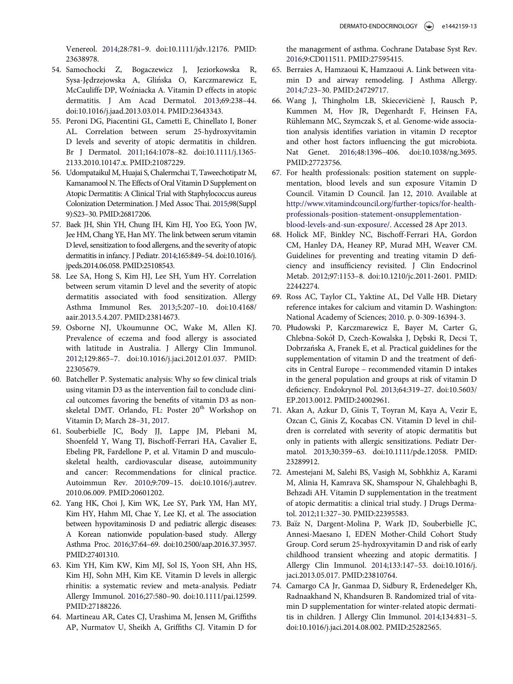Venereol. [2014](#page-8-12);28:781–9. doi:[10.1111/jdv.12176. PMID:](https://doi.org/10.1111/jdv.12176) [23638978.](https://doi.org/23638978)

- <span id="page-13-18"></span><span id="page-13-4"></span>54. Samochocki Z, Bogaczewicz J, Jeziorkowska R, Sysa-Jędrzejowska A, Glińska O, Karczmarewicz E, McCauliffe DP, Wozniacka A. Vitamin D effects in atopic dermatitis. J Am Acad Dermatol. [2013](#page-9-2);69:238–44. doi:[10.1016/j.jaad.2013.03.014. PMID:23643343.](https://doi.org/23643343)
- <span id="page-13-19"></span><span id="page-13-13"></span>55. Peroni DG, Piacentini GL, Cametti E, Chinellato I, Boner AL. Correlation between serum 25-hydroxyvitamin D levels and severity of atopic dermatitis in children. Br J Dermatol. [2011;](#page-9-3)164:1078–82. doi:[10.1111/j.1365-](https://doi.org/10.1111/j.1365-2133.2010.10147.x) [2133.2010.10147.x. PMID:21087229.](https://doi.org/21087229)
- <span id="page-13-14"></span><span id="page-13-0"></span>56. Udompataikul M, Huajai S, Chalermchai T, Taweechotipatr M, Kamanamool N. The Effects of Oral Vitamin D Supplement on Atopic Dermatitis: A Clinical Trial with Staphylococcus aureus Colonization Determination. J Med Assoc Thai. [2015](#page-9-4);98(Suppl 9):S23–30. PMID[:26817206.](https://doi.org/26817206)
- <span id="page-13-5"></span><span id="page-13-1"></span>57. Baek JH, Shin YH, Chung IH, Kim HJ, Yoo EG, Yoon JW, Jee HM, Chang YE, Han MY. The link between serum vitamin D level, sensitization to food allergens, and the severity of atopic dermatitis in infancy. J Pediatr. [2014;](#page-9-5)165:849–54. doi[:10.1016/j.](https://doi.org/10.1016/j.jpeds.2014.06.058) [jpeds.2014.06.058. PMID:25108543.](https://doi.org/25108543)
- <span id="page-13-2"></span>58. Lee SA, Hong S, Kim HJ, Lee SH, Yum HY. Correlation between serum vitamin D level and the severity of atopic dermatitis associated with food sensitization. Allergy Asthma Immunol Res. 2013;5:207–10. doi:[10.4168/](https://doi.org/10.4168/aair.2013.5.4.207) [aair.2013.5.4.207. PMID:23814673.](https://doi.org/23814673)
- <span id="page-13-12"></span><span id="page-13-3"></span>59. Osborne NJ, Ukoumunne OC, Wake M, Allen KJ. Prevalence of eczema and food allergy is associated with latitude in Australia. J Allergy Clin Immunol. [2012;](#page-9-6)129:865–7. doi[:10.1016/j.jaci.2012.01.037. PMID:](https://doi.org/10.1016/j.jaci.2012.01.037) [22305679.](https://doi.org/22305679)
- <span id="page-13-6"></span>60. Batcheller P. Systematic analysis: Why so few clinical trials using vitamin D3 as the intervention fail to conclude clinical outcomes favoring the benefits of vitamin D3 as nonskeletal DMT. Orlando, FL: Poster 20<sup>th</sup> Workshop on Vitamin D; March 28–31, [2017.](#page-9-7)
- <span id="page-13-8"></span><span id="page-13-7"></span>61. Souberbielle JC, Body JJ, Lappe JM, Plebani M, Shoenfeld Y, Wang TJ, Bischoff-Ferrari HA, Cavalier E, Ebeling PR, Fardellone P, et al. Vitamin D and musculoskeletal health, cardiovascular disease, autoimmunity and cancer: Recommendations for clinical practice. Autoimmun Rev. [2010;](#page-9-8)9:709–15. doi:[10.1016/j.autrev.](https://doi.org/10.1016/j.autrev.2010.06.009) [2010.06.009. PMID:20601202.](https://doi.org/20601202)
- <span id="page-13-15"></span><span id="page-13-10"></span><span id="page-13-9"></span>62. Yang HK, Choi J, Kim WK, Lee SY, Park YM, Han MY, Kim HY, Hahm MI, Chae Y, Lee KJ, et al. The association between hypovitaminosis D and pediatric allergic diseases: A Korean nationwide population-based study. Allergy Asthma Proc. [2016;](#page-10-7)37:64–69. doi:[10.2500/aap.2016.37.3957.](https://doi.org/10.2500/aap.2016.37.3957) [PMID:27401310.](https://doi.org/27401310)
- <span id="page-13-16"></span><span id="page-13-11"></span>63. Kim YH, Kim KW, Kim MJ, Sol IS, Yoon SH, Ahn HS, Kim HJ, Sohn MH, Kim KE. Vitamin D levels in allergic rhinitis: a systematic review and meta-analysis. Pediatr Allergy Immunol. [2016](#page-10-8);27:580–90. doi[:10.1111/pai.12599.](https://doi.org/10.1111/pai.12599) [PMID:27188226.](https://doi.org/27188226)
- <span id="page-13-17"></span>64. Martineau AR, Cates CJ, Urashima M, Jensen M, Griffiths AP, Nurmatov U, Sheikh A, Griffiths CJ. Vitamin D for

the management of asthma. Cochrane Database Syst Rev. [2016;](#page-10-9)9:CD011511. PMID:[27595415.](https://doi.org/27595415)

- 65. Berraies A, Hamzaoui K, Hamzaoui A. Link between vitamin D and airway remodeling. J Asthma Allergy. [2014;](#page-10-10)7:23–30. PMID[:24729717.](https://doi.org/24729717)
- 66. Wang J, Thingholm LB, Skiecevičienė J, Rausch P, Kummen M, Hov JR, Degenhardt F, Heinsen FA, Rühlemann MC, Szymczak S, et al. Genome-wide association analysis identifies variation in vitamin D receptor and other host factors influencing the gut microbiota. Nat Genet. [2016;](#page-10-11)48:1396–406. doi[:10.1038/ng.3695.](https://doi.org/10.1038/ng.3695) [PMID:27723756.](https://doi.org/27723756)
- 67. For health professionals: position statement on supplementation, blood levels and sun exposure Vitamin D Council. Vitamin D Council. Jan 12, [2010.](#page-6-6) Available at [http://www.vitamindcouncil.org/further-topics/for-health](http://www.vitamindcouncil.org/further-topics/for-health-professionals-position-statement-onsupplementation-blood-levels-and-sun-exposure/)[professionals-position-statement-onsupplementation](http://www.vitamindcouncil.org/further-topics/for-health-professionals-position-statement-onsupplementation-blood-levels-and-sun-exposure/)[blood-levels-and-sun-exposure/](http://www.vitamindcouncil.org/further-topics/for-health-professionals-position-statement-onsupplementation-blood-levels-and-sun-exposure/). Accessed 28 Apr [2013.](#page-6-6)
- 68. Holick MF, Binkley NC, Bischoff-Ferrari HA, Gordon CM, Hanley DA, Heaney RP, Murad MH, Weaver CM. Guidelines for preventing and treating vitamin D deficiency and insufficiency revisited. J Clin Endocrinol Metab. [2012;](#page-6-6)97:1153–8. doi[:10.1210/jc.2011-2601. PMID:](https://doi.org/10.1210/jc.2011-2601) [22442274.](https://doi.org/22442274)
- 69. Ross AC, Taylor CL, Yaktine AL, Del Valle HB. Dietary reference intakes for calcium and vitamin D. Washington: National Academy of Sciences; [2010.](#page-6-7) p. 0-309-16394-3.
- 70. Płudowski P, Karczmarewicz E, Bayer M, Carter G, Chlebna-Sokół D, Czech-Kowalska J, Dębski R, Decsi T, Dobrzańska A, Franek E, et al. Practical guidelines for the supplementation of vitamin D and the treatment of deficits in Central Europe – recommended vitamin D intakes in the general population and groups at risk of vitamin D deficiency. Endokrynol Pol. [2013](#page-6-8);64:319–27. doi:[10.5603/](https://doi.org/10.5603/EP.2013.0012) [EP.2013.0012. PMID:24002961.](https://doi.org/24002961)
- 71. Akan A, Azkur D, Ginis T, Toyran M, Kaya A, Vezir E, Ozcan C, Ginis Z, Kocabas CN. Vitamin D level in children is correlated with severity of atopic dermatitis but only in patients with allergic sensitizations. Pediatr Dermatol. [2013](#page-9-9);30:359–63. doi:[10.1111/pde.12058. PMID:](https://doi.org/10.1111/pde.12058) [23289912.](https://doi.org/23289912)
- 72. Amestejani M, Salehi BS, Vasigh M, Sobhkhiz A, Karami M, Alinia H, Kamrava SK, Shamspour N, Ghalehbaghi B, Behzadi AH. Vitamin D supplementation in the treatment of atopic dermatitis: a clinical trial study. J Drugs Dermatol. [2012;](#page-9-10)11:327–30. PMID:[22395583.](https://doi.org/22395583)
- 73. Baïz N, Dargent-Molina P, Wark JD, Souberbielle JC, Annesi-Maesano I, EDEN Mother-Child Cohort Study Group. Cord serum 25-hydroxyvitamin D and risk of early childhood transient wheezing and atopic dermatitis. J Allergy Clin Immunol. [2014](#page-9-11);133:147–53. doi[:10.1016/j.](https://doi.org/10.1016/j.jaci.2013.05.017) [jaci.2013.05.017. PMID:23810764.](https://doi.org/23810764)
- 74. Camargo CA Jr, Ganmaa D, Sidbury R, Erdenedelger Kh, Radnaakhand N, Khandsuren B. Randomized trial of vitamin D supplementation for winter-related atopic dermatitis in children. J Allergy Clin Immunol. [2014](#page-9-12);134:831–5. doi:[10.1016/j.jaci.2014.08.002. PMID:25282565.](https://doi.org/25282565)